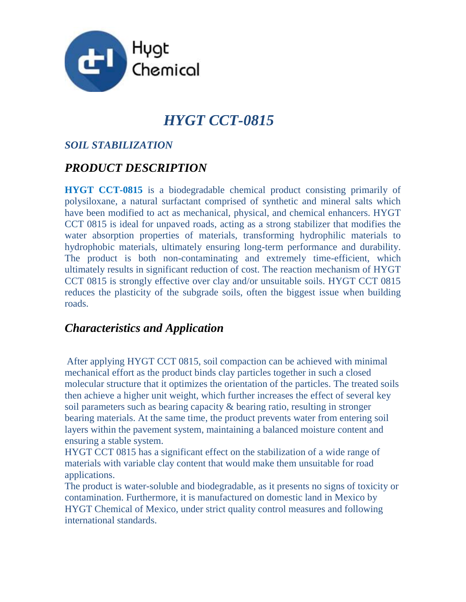

# *HYGT CCT-0815*

#### *SOIL STABILIZATION*

## *PRODUCT DESCRIPTION*

**HYGT CCT-0815** is a biodegradable chemical product consisting primarily of polysiloxane, a natural surfactant comprised of synthetic and mineral salts which have been modified to act as mechanical, physical, and chemical enhancers. HYGT CCT 0815 is ideal for unpaved roads, acting as a strong stabilizer that modifies the water absorption properties of materials, transforming hydrophilic materials to hydrophobic materials, ultimately ensuring long-term performance and durability. The product is both non-contaminating and extremely time-efficient, which ultimately results in significant reduction of cost. The reaction mechanism of HYGT CCT 0815 is strongly effective over clay and/or unsuitable soils. HYGT CCT 0815 reduces the plasticity of the subgrade soils, often the biggest issue when building roads.

### *Characteristics and Application*

After applying HYGT CCT 0815, soil compaction can be achieved with minimal mechanical effort as the product binds clay particles together in such a closed molecular structure that it optimizes the orientation of the particles. The treated soils then achieve a higher unit weight, which further increases the effect of several key soil parameters such as bearing capacity & bearing ratio, resulting in stronger bearing materials. At the same time, the product prevents water from entering soil layers within the pavement system, maintaining a balanced moisture content and ensuring a stable system.

HYGT CCT 0815 has a significant effect on the stabilization of a wide range of materials with variable clay content that would make them unsuitable for road applications.

The product is water-soluble and biodegradable, as it presents no signs of toxicity or contamination. Furthermore, it is manufactured on domestic land in Mexico by HYGT Chemical of Mexico, under strict quality control measures and following international standards.